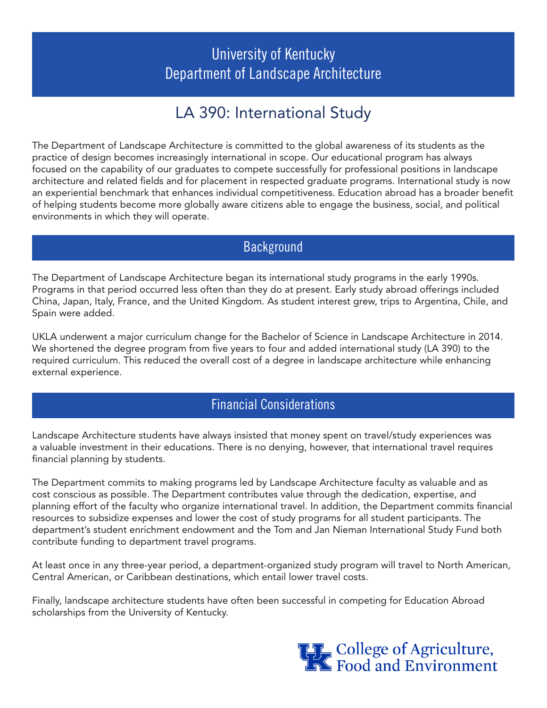## University of Kentucky Department of Landscape Architecture

# LA 390: International Study

The Department of Landscape Architecture is committed to the global awareness of its students as the practice of design becomes increasingly international in scope. Our educational program has always focused on the capability of our graduates to compete successfully for professional positions in landscape architecture and related fields and for placement in respected graduate programs. International study is now an experiential benchmark that enhances individual competitiveness. Education abroad has a broader benefit of helping students become more globally aware citizens able to engage the business, social, and political environments in which they will operate.

#### **Background**

The Department of Landscape Architecture began its international study programs in the early 1990s. Programs in that period occurred less often than they do at present. Early study abroad offerings included China, Japan, Italy, France, and the United Kingdom. As student interest grew, trips to Argentina, Chile, and Spain were added.

UKLA underwent a major curriculum change for the Bachelor of Science in Landscape Architecture in 2014. We shortened the degree program from five years to four and added international study (LA 390) to the required curriculum. This reduced the overall cost of a degree in landscape architecture while enhancing external experience.

#### Financial Considerations

Landscape Architecture students have always insisted that money spent on travel/study experiences was a valuable investment in their educations. There is no denying, however, that international travel requires financial planning by students.

The Department commits to making programs led by Landscape Architecture faculty as valuable and as cost conscious as possible. The Department contributes value through the dedication, expertise, and planning effort of the faculty who organize international travel. In addition, the Department commits financial resources to subsidize expenses and lower the cost of study programs for all student participants. The department's student enrichment endowment and the Tom and Jan Nieman International Study Fund both contribute funding to department travel programs.

At least once in any three-year period, a department-organized study program will travel to North American, Central American, or Caribbean destinations, which entail lower travel costs.

Finally, landscape architecture students have often been successful in competing for Education Abroad scholarships from the University of Kentucky.

THE College of Agriculture,<br>The Food and Environment